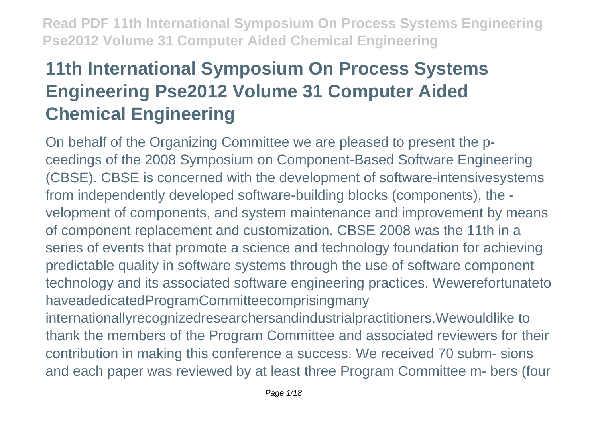# **11th International Symposium On Process Systems Engineering Pse2012 Volume 31 Computer Aided Chemical Engineering**

On behalf of the Organizing Committee we are pleased to present the pceedings of the 2008 Symposium on Component-Based Software Engineering (CBSE). CBSE is concerned with the development of software-intensivesystems from independently developed software-building blocks (components), the velopment of components, and system maintenance and improvement by means of component replacement and customization. CBSE 2008 was the 11th in a series of events that promote a science and technology foundation for achieving predictable quality in software systems through the use of software component technology and its associated software engineering practices. Wewerefortunateto haveadedicatedProgramCommitteecomprisingmany internationallyrecognizedresearchersandindustrialpractitioners.Wewouldlike to thank the members of the Program Committee and associated reviewers for their contribution in making this conference a success. We received 70 subm- sions and each paper was reviewed by at least three Program Committee m- bers (four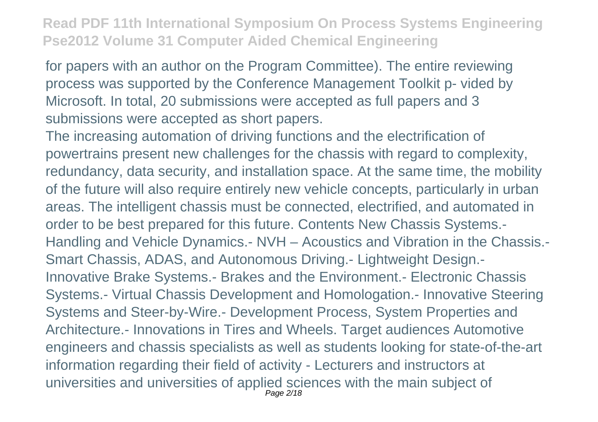for papers with an author on the Program Committee). The entire reviewing process was supported by the Conference Management Toolkit p- vided by Microsoft. In total, 20 submissions were accepted as full papers and 3 submissions were accepted as short papers.

The increasing automation of driving functions and the electrification of powertrains present new challenges for the chassis with regard to complexity, redundancy, data security, and installation space. At the same time, the mobility of the future will also require entirely new vehicle concepts, particularly in urban areas. The intelligent chassis must be connected, electrified, and automated in order to be best prepared for this future. Contents New Chassis Systems.- Handling and Vehicle Dynamics.- NVH – Acoustics and Vibration in the Chassis.- Smart Chassis, ADAS, and Autonomous Driving.- Lightweight Design.- Innovative Brake Systems.- Brakes and the Environment.- Electronic Chassis Systems.- Virtual Chassis Development and Homologation.- Innovative Steering Systems and Steer-by-Wire.- Development Process, System Properties and Architecture.- Innovations in Tires and Wheels. Target audiences Automotive engineers and chassis specialists as well as students looking for state-of-the-art information regarding their field of activity - Lecturers and instructors at universities and universities of applied sciences with the main subject of Page 2/18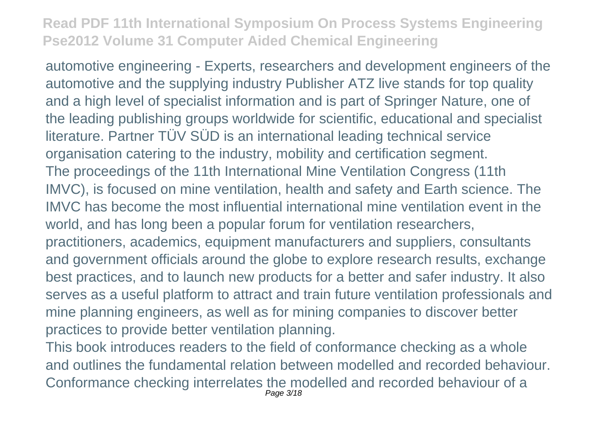automotive engineering - Experts, researchers and development engineers of the automotive and the supplying industry Publisher ATZ live stands for top quality and a high level of specialist information and is part of Springer Nature, one of the leading publishing groups worldwide for scientific, educational and specialist literature. Partner TÜV SÜD is an international leading technical service organisation catering to the industry, mobility and certification segment. The proceedings of the 11th International Mine Ventilation Congress (11th IMVC), is focused on mine ventilation, health and safety and Earth science. The IMVC has become the most influential international mine ventilation event in the world, and has long been a popular forum for ventilation researchers, practitioners, academics, equipment manufacturers and suppliers, consultants and government officials around the globe to explore research results, exchange best practices, and to launch new products for a better and safer industry. It also serves as a useful platform to attract and train future ventilation professionals and mine planning engineers, as well as for mining companies to discover better practices to provide better ventilation planning.

This book introduces readers to the field of conformance checking as a whole and outlines the fundamental relation between modelled and recorded behaviour. Conformance checking interrelates the modelled and recorded behaviour of a Page 3/18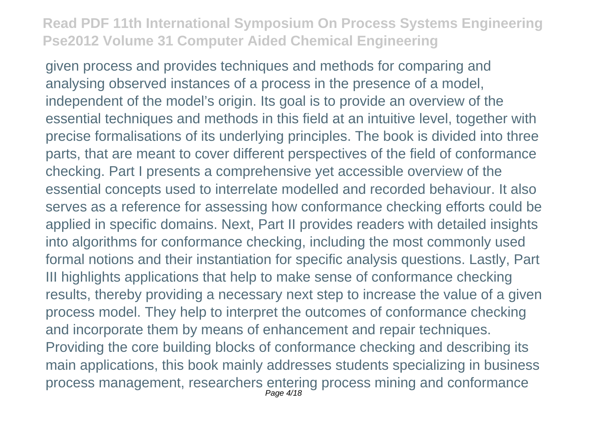given process and provides techniques and methods for comparing and analysing observed instances of a process in the presence of a model, independent of the model's origin. Its goal is to provide an overview of the essential techniques and methods in this field at an intuitive level, together with precise formalisations of its underlying principles. The book is divided into three parts, that are meant to cover different perspectives of the field of conformance checking. Part I presents a comprehensive yet accessible overview of the essential concepts used to interrelate modelled and recorded behaviour. It also serves as a reference for assessing how conformance checking efforts could be applied in specific domains. Next, Part II provides readers with detailed insights into algorithms for conformance checking, including the most commonly used formal notions and their instantiation for specific analysis questions. Lastly, Part III highlights applications that help to make sense of conformance checking results, thereby providing a necessary next step to increase the value of a given process model. They help to interpret the outcomes of conformance checking and incorporate them by means of enhancement and repair techniques. Providing the core building blocks of conformance checking and describing its main applications, this book mainly addresses students specializing in business process management, researchers entering process mining and conformance Page 4/18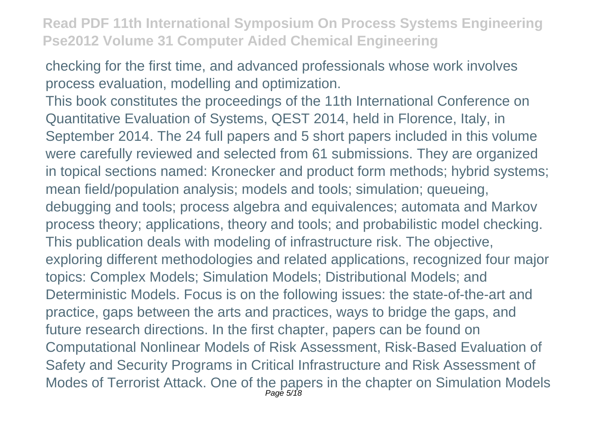checking for the first time, and advanced professionals whose work involves process evaluation, modelling and optimization.

This book constitutes the proceedings of the 11th International Conference on Quantitative Evaluation of Systems, QEST 2014, held in Florence, Italy, in September 2014. The 24 full papers and 5 short papers included in this volume were carefully reviewed and selected from 61 submissions. They are organized in topical sections named: Kronecker and product form methods; hybrid systems; mean field/population analysis; models and tools; simulation; queueing, debugging and tools; process algebra and equivalences; automata and Markov process theory; applications, theory and tools; and probabilistic model checking. This publication deals with modeling of infrastructure risk. The objective, exploring different methodologies and related applications, recognized four major topics: Complex Models; Simulation Models; Distributional Models; and Deterministic Models. Focus is on the following issues: the state-of-the-art and practice, gaps between the arts and practices, ways to bridge the gaps, and future research directions. In the first chapter, papers can be found on Computational Nonlinear Models of Risk Assessment, Risk-Based Evaluation of Safety and Security Programs in Critical Infrastructure and Risk Assessment of Modes of Terrorist Attack. One of the papers in the chapter on Simulation Models Page 5/18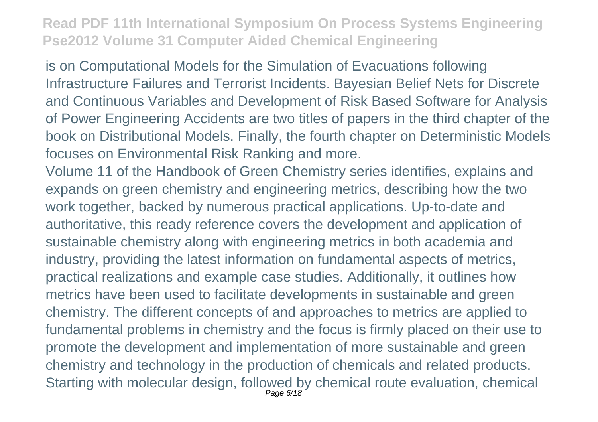is on Computational Models for the Simulation of Evacuations following Infrastructure Failures and Terrorist Incidents. Bayesian Belief Nets for Discrete and Continuous Variables and Development of Risk Based Software for Analysis of Power Engineering Accidents are two titles of papers in the third chapter of the book on Distributional Models. Finally, the fourth chapter on Deterministic Models focuses on Environmental Risk Ranking and more.

Volume 11 of the Handbook of Green Chemistry series identifies, explains and expands on green chemistry and engineering metrics, describing how the two work together, backed by numerous practical applications. Up-to-date and authoritative, this ready reference covers the development and application of sustainable chemistry along with engineering metrics in both academia and industry, providing the latest information on fundamental aspects of metrics, practical realizations and example case studies. Additionally, it outlines how metrics have been used to facilitate developments in sustainable and green chemistry. The different concepts of and approaches to metrics are applied to fundamental problems in chemistry and the focus is firmly placed on their use to promote the development and implementation of more sustainable and green chemistry and technology in the production of chemicals and related products. Starting with molecular design, followed by chemical route evaluation, chemical Page 6/18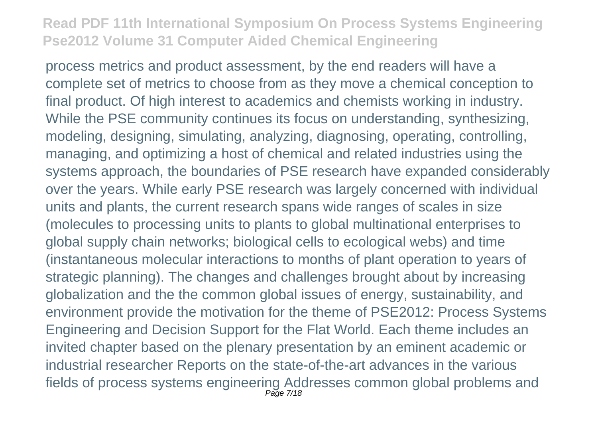process metrics and product assessment, by the end readers will have a complete set of metrics to choose from as they move a chemical conception to final product. Of high interest to academics and chemists working in industry. While the PSE community continues its focus on understanding, synthesizing, modeling, designing, simulating, analyzing, diagnosing, operating, controlling, managing, and optimizing a host of chemical and related industries using the systems approach, the boundaries of PSE research have expanded considerably over the years. While early PSE research was largely concerned with individual units and plants, the current research spans wide ranges of scales in size (molecules to processing units to plants to global multinational enterprises to global supply chain networks; biological cells to ecological webs) and time (instantaneous molecular interactions to months of plant operation to years of strategic planning). The changes and challenges brought about by increasing globalization and the the common global issues of energy, sustainability, and environment provide the motivation for the theme of PSE2012: Process Systems Engineering and Decision Support for the Flat World. Each theme includes an invited chapter based on the plenary presentation by an eminent academic or industrial researcher Reports on the state-of-the-art advances in the various fields of process systems engineering Addresses common global problems and Page 7/18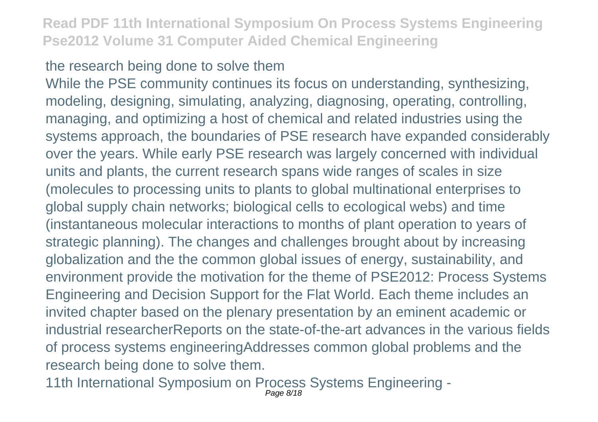#### the research being done to solve them

While the PSE community continues its focus on understanding, synthesizing, modeling, designing, simulating, analyzing, diagnosing, operating, controlling, managing, and optimizing a host of chemical and related industries using the systems approach, the boundaries of PSE research have expanded considerably over the years. While early PSE research was largely concerned with individual units and plants, the current research spans wide ranges of scales in size (molecules to processing units to plants to global multinational enterprises to global supply chain networks; biological cells to ecological webs) and time (instantaneous molecular interactions to months of plant operation to years of strategic planning). The changes and challenges brought about by increasing globalization and the the common global issues of energy, sustainability, and environment provide the motivation for the theme of PSE2012: Process Systems Engineering and Decision Support for the Flat World. Each theme includes an invited chapter based on the plenary presentation by an eminent academic or industrial researcherReports on the state-of-the-art advances in the various fields of process systems engineeringAddresses common global problems and the research being done to solve them.

11th International Symposium on Process Systems Engineering - Page 8/18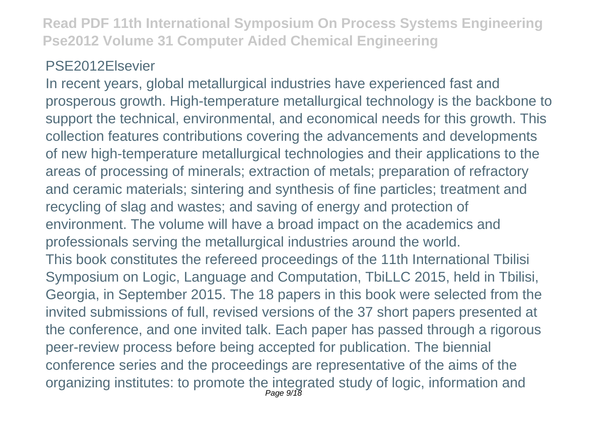#### PSE2012Elsevier

In recent years, global metallurgical industries have experienced fast and prosperous growth. High-temperature metallurgical technology is the backbone to support the technical, environmental, and economical needs for this growth. This collection features contributions covering the advancements and developments of new high-temperature metallurgical technologies and their applications to the areas of processing of minerals; extraction of metals; preparation of refractory and ceramic materials; sintering and synthesis of fine particles; treatment and recycling of slag and wastes; and saving of energy and protection of environment. The volume will have a broad impact on the academics and professionals serving the metallurgical industries around the world. This book constitutes the refereed proceedings of the 11th International Tbilisi Symposium on Logic, Language and Computation, TbiLLC 2015, held in Tbilisi, Georgia, in September 2015. The 18 papers in this book were selected from the invited submissions of full, revised versions of the 37 short papers presented at the conference, and one invited talk. Each paper has passed through a rigorous peer-review process before being accepted for publication. The biennial conference series and the proceedings are representative of the aims of the organizing institutes: to promote the integrated study of logic, information and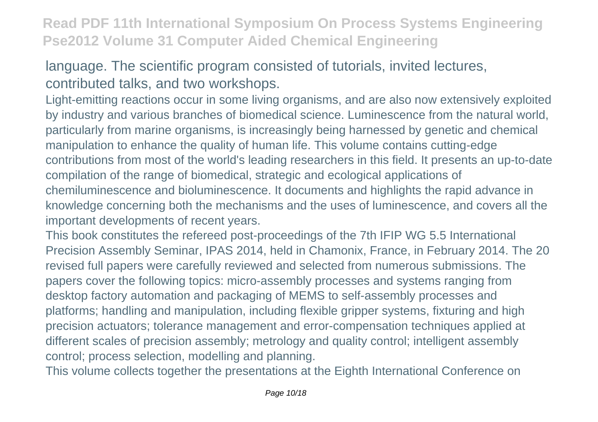## language. The scientific program consisted of tutorials, invited lectures, contributed talks, and two workshops.

Light-emitting reactions occur in some living organisms, and are also now extensively exploited by industry and various branches of biomedical science. Luminescence from the natural world, particularly from marine organisms, is increasingly being harnessed by genetic and chemical manipulation to enhance the quality of human life. This volume contains cutting-edge contributions from most of the world's leading researchers in this field. It presents an up-to-date compilation of the range of biomedical, strategic and ecological applications of chemiluminescence and bioluminescence. It documents and highlights the rapid advance in knowledge concerning both the mechanisms and the uses of luminescence, and covers all the important developments of recent years.

This book constitutes the refereed post-proceedings of the 7th IFIP WG 5.5 International Precision Assembly Seminar, IPAS 2014, held in Chamonix, France, in February 2014. The 20 revised full papers were carefully reviewed and selected from numerous submissions. The papers cover the following topics: micro-assembly processes and systems ranging from desktop factory automation and packaging of MEMS to self-assembly processes and platforms; handling and manipulation, including flexible gripper systems, fixturing and high precision actuators; tolerance management and error-compensation techniques applied at different scales of precision assembly; metrology and quality control; intelligent assembly control; process selection, modelling and planning.

This volume collects together the presentations at the Eighth International Conference on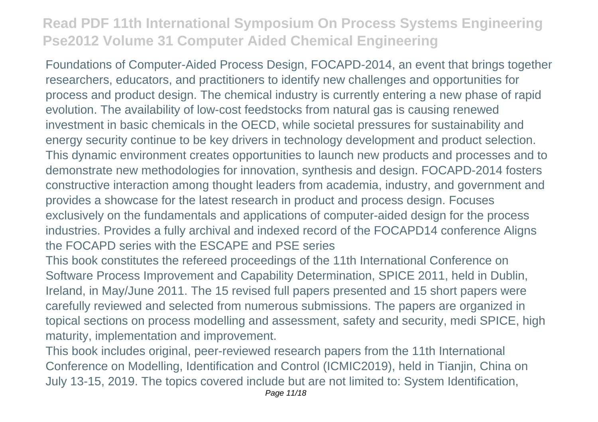Foundations of Computer-Aided Process Design, FOCAPD-2014, an event that brings together researchers, educators, and practitioners to identify new challenges and opportunities for process and product design. The chemical industry is currently entering a new phase of rapid evolution. The availability of low-cost feedstocks from natural gas is causing renewed investment in basic chemicals in the OECD, while societal pressures for sustainability and energy security continue to be key drivers in technology development and product selection. This dynamic environment creates opportunities to launch new products and processes and to demonstrate new methodologies for innovation, synthesis and design. FOCAPD-2014 fosters constructive interaction among thought leaders from academia, industry, and government and provides a showcase for the latest research in product and process design. Focuses exclusively on the fundamentals and applications of computer-aided design for the process industries. Provides a fully archival and indexed record of the FOCAPD14 conference Aligns the FOCAPD series with the ESCAPE and PSE series

This book constitutes the refereed proceedings of the 11th International Conference on Software Process Improvement and Capability Determination, SPICE 2011, held in Dublin, Ireland, in May/June 2011. The 15 revised full papers presented and 15 short papers were carefully reviewed and selected from numerous submissions. The papers are organized in topical sections on process modelling and assessment, safety and security, medi SPICE, high maturity, implementation and improvement.

This book includes original, peer-reviewed research papers from the 11th International Conference on Modelling, Identification and Control (ICMIC2019), held in Tianjin, China on July 13-15, 2019. The topics covered include but are not limited to: System Identification,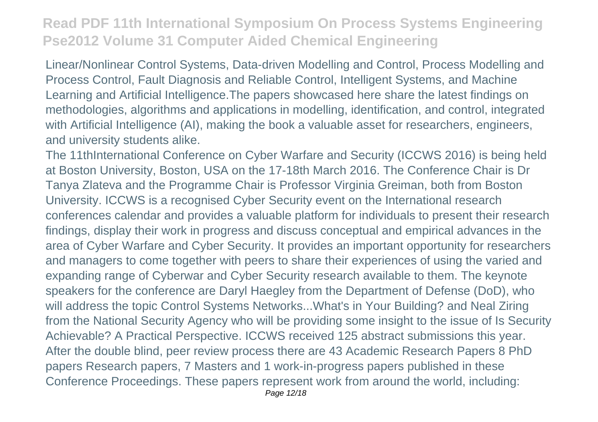Linear/Nonlinear Control Systems, Data-driven Modelling and Control, Process Modelling and Process Control, Fault Diagnosis and Reliable Control, Intelligent Systems, and Machine Learning and Artificial Intelligence.The papers showcased here share the latest findings on methodologies, algorithms and applications in modelling, identification, and control, integrated with Artificial Intelligence (AI), making the book a valuable asset for researchers, engineers, and university students alike.

The 11thInternational Conference on Cyber Warfare and Security (ICCWS 2016) is being held at Boston University, Boston, USA on the 17-18th March 2016. The Conference Chair is Dr Tanya Zlateva and the Programme Chair is Professor Virginia Greiman, both from Boston University. ICCWS is a recognised Cyber Security event on the International research conferences calendar and provides a valuable platform for individuals to present their research findings, display their work in progress and discuss conceptual and empirical advances in the area of Cyber Warfare and Cyber Security. It provides an important opportunity for researchers and managers to come together with peers to share their experiences of using the varied and expanding range of Cyberwar and Cyber Security research available to them. The keynote speakers for the conference are Daryl Haegley from the Department of Defense (DoD), who will address the topic Control Systems Networks...What's in Your Building? and Neal Ziring from the National Security Agency who will be providing some insight to the issue of Is Security Achievable? A Practical Perspective. ICCWS received 125 abstract submissions this year. After the double blind, peer review process there are 43 Academic Research Papers 8 PhD papers Research papers, 7 Masters and 1 work-in-progress papers published in these Conference Proceedings. These papers represent work from around the world, including: Page 12/18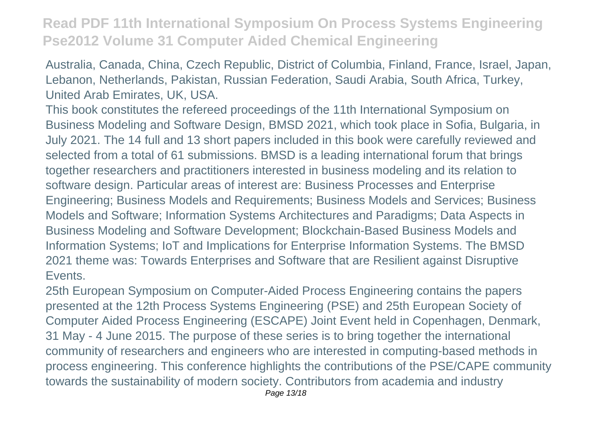Australia, Canada, China, Czech Republic, District of Columbia, Finland, France, Israel, Japan, Lebanon, Netherlands, Pakistan, Russian Federation, Saudi Arabia, South Africa, Turkey, United Arab Emirates, UK, USA.

This book constitutes the refereed proceedings of the 11th International Symposium on Business Modeling and Software Design, BMSD 2021, which took place in Sofia, Bulgaria, in July 2021. The 14 full and 13 short papers included in this book were carefully reviewed and selected from a total of 61 submissions. BMSD is a leading international forum that brings together researchers and practitioners interested in business modeling and its relation to software design. Particular areas of interest are: Business Processes and Enterprise Engineering; Business Models and Requirements; Business Models and Services; Business Models and Software; Information Systems Architectures and Paradigms; Data Aspects in Business Modeling and Software Development; Blockchain-Based Business Models and Information Systems; IoT and Implications for Enterprise Information Systems. The BMSD 2021 theme was: Towards Enterprises and Software that are Resilient against Disruptive Events.

25th European Symposium on Computer-Aided Process Engineering contains the papers presented at the 12th Process Systems Engineering (PSE) and 25th European Society of Computer Aided Process Engineering (ESCAPE) Joint Event held in Copenhagen, Denmark, 31 May - 4 June 2015. The purpose of these series is to bring together the international community of researchers and engineers who are interested in computing-based methods in process engineering. This conference highlights the contributions of the PSE/CAPE community towards the sustainability of modern society. Contributors from academia and industry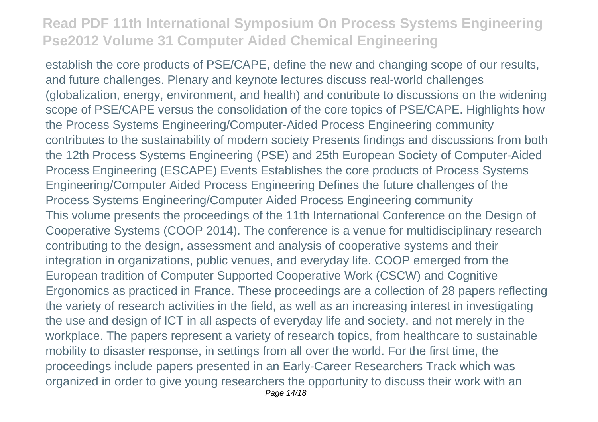establish the core products of PSE/CAPE, define the new and changing scope of our results, and future challenges. Plenary and keynote lectures discuss real-world challenges (globalization, energy, environment, and health) and contribute to discussions on the widening scope of PSE/CAPE versus the consolidation of the core topics of PSE/CAPE. Highlights how the Process Systems Engineering/Computer-Aided Process Engineering community contributes to the sustainability of modern society Presents findings and discussions from both the 12th Process Systems Engineering (PSE) and 25th European Society of Computer-Aided Process Engineering (ESCAPE) Events Establishes the core products of Process Systems Engineering/Computer Aided Process Engineering Defines the future challenges of the Process Systems Engineering/Computer Aided Process Engineering community This volume presents the proceedings of the 11th International Conference on the Design of Cooperative Systems (COOP 2014). The conference is a venue for multidisciplinary research contributing to the design, assessment and analysis of cooperative systems and their integration in organizations, public venues, and everyday life. COOP emerged from the European tradition of Computer Supported Cooperative Work (CSCW) and Cognitive Ergonomics as practiced in France. These proceedings are a collection of 28 papers reflecting the variety of research activities in the field, as well as an increasing interest in investigating the use and design of ICT in all aspects of everyday life and society, and not merely in the workplace. The papers represent a variety of research topics, from healthcare to sustainable mobility to disaster response, in settings from all over the world. For the first time, the proceedings include papers presented in an Early-Career Researchers Track which was organized in order to give young researchers the opportunity to discuss their work with an Page 14/18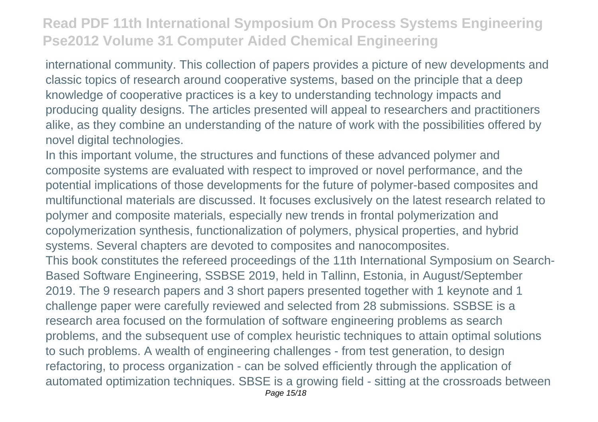international community. This collection of papers provides a picture of new developments and classic topics of research around cooperative systems, based on the principle that a deep knowledge of cooperative practices is a key to understanding technology impacts and producing quality designs. The articles presented will appeal to researchers and practitioners alike, as they combine an understanding of the nature of work with the possibilities offered by novel digital technologies.

In this important volume, the structures and functions of these advanced polymer and composite systems are evaluated with respect to improved or novel performance, and the potential implications of those developments for the future of polymer-based composites and multifunctional materials are discussed. It focuses exclusively on the latest research related to polymer and composite materials, especially new trends in frontal polymerization and copolymerization synthesis, functionalization of polymers, physical properties, and hybrid systems. Several chapters are devoted to composites and nanocomposites. This book constitutes the refereed proceedings of the 11th International Symposium on Search-Based Software Engineering, SSBSE 2019, held in Tallinn, Estonia, in August/September 2019. The 9 research papers and 3 short papers presented together with 1 keynote and 1 challenge paper were carefully reviewed and selected from 28 submissions. SSBSE is a research area focused on the formulation of software engineering problems as search problems, and the subsequent use of complex heuristic techniques to attain optimal solutions to such problems. A wealth of engineering challenges - from test generation, to design refactoring, to process organization - can be solved efficiently through the application of automated optimization techniques. SBSE is a growing field - sitting at the crossroads between Page 15/18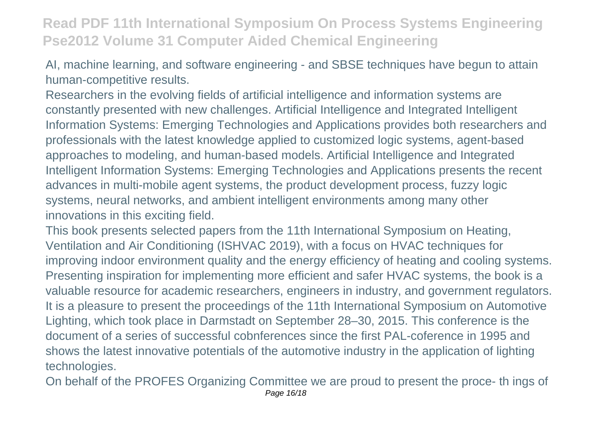AI, machine learning, and software engineering - and SBSE techniques have begun to attain human-competitive results.

Researchers in the evolving fields of artificial intelligence and information systems are constantly presented with new challenges. Artificial Intelligence and Integrated Intelligent Information Systems: Emerging Technologies and Applications provides both researchers and professionals with the latest knowledge applied to customized logic systems, agent-based approaches to modeling, and human-based models. Artificial Intelligence and Integrated Intelligent Information Systems: Emerging Technologies and Applications presents the recent advances in multi-mobile agent systems, the product development process, fuzzy logic systems, neural networks, and ambient intelligent environments among many other innovations in this exciting field.

This book presents selected papers from the 11th International Symposium on Heating, Ventilation and Air Conditioning (ISHVAC 2019), with a focus on HVAC techniques for improving indoor environment quality and the energy efficiency of heating and cooling systems. Presenting inspiration for implementing more efficient and safer HVAC systems, the book is a valuable resource for academic researchers, engineers in industry, and government regulators. It is a pleasure to present the proceedings of the 11th International Symposium on Automotive Lighting, which took place in Darmstadt on September 28–30, 2015. This conference is the document of a series of successful cobnferences since the first PAL-coference in 1995 and shows the latest innovative potentials of the automotive industry in the application of lighting technologies.

On behalf of the PROFES Organizing Committee we are proud to present the proce- th ings of Page 16/18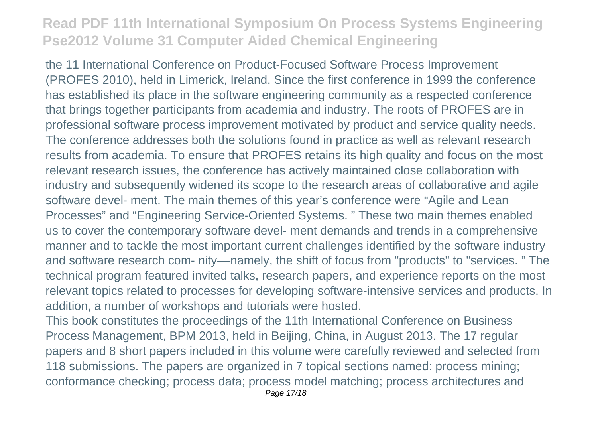the 11 International Conference on Product-Focused Software Process Improvement (PROFES 2010), held in Limerick, Ireland. Since the first conference in 1999 the conference has established its place in the software engineering community as a respected conference that brings together participants from academia and industry. The roots of PROFES are in professional software process improvement motivated by product and service quality needs. The conference addresses both the solutions found in practice as well as relevant research results from academia. To ensure that PROFES retains its high quality and focus on the most relevant research issues, the conference has actively maintained close collaboration with industry and subsequently widened its scope to the research areas of collaborative and agile software devel- ment. The main themes of this year's conference were "Agile and Lean Processes" and "Engineering Service-Oriented Systems. " These two main themes enabled us to cover the contemporary software devel- ment demands and trends in a comprehensive manner and to tackle the most important current challenges identified by the software industry and software research com- nity––namely, the shift of focus from "products" to "services. " The technical program featured invited talks, research papers, and experience reports on the most relevant topics related to processes for developing software-intensive services and products. In addition, a number of workshops and tutorials were hosted.

This book constitutes the proceedings of the 11th International Conference on Business Process Management, BPM 2013, held in Beijing, China, in August 2013. The 17 regular papers and 8 short papers included in this volume were carefully reviewed and selected from 118 submissions. The papers are organized in 7 topical sections named: process mining; conformance checking; process data; process model matching; process architectures and